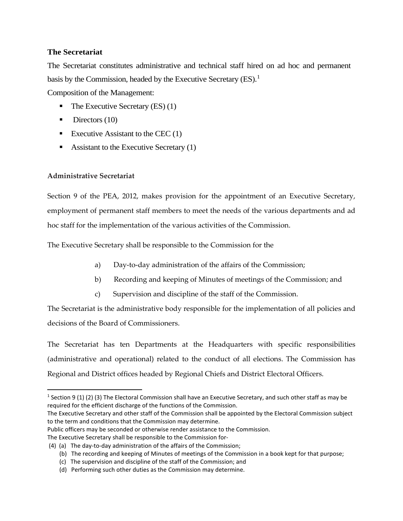## **The Secretariat**

The Secretariat constitutes administrative and technical staff hired on ad hoc and permanent basis by the Commission, headed by the Executive Secretary  $(ES)^1$  $(ES)^1$ . Composition of the Management:

- $\blacksquare$  The Executive Secretary (ES) (1)
- $\blacksquare$  Directors (10)
- Executive Assistant to the CEC  $(1)$
- Assistant to the Executive Secretary  $(1)$

## **Administrative Secretariat**

Section 9 of the PEA, 2012, makes provision for the appointment of an Executive Secretary, employment of permanent staff members to meet the needs of the various departments and ad hoc staff for the implementation of the various activities of the Commission.

The Executive Secretary shall be responsible to the Commission for the

- a) Day-to-day administration of the affairs of the Commission;
- b) Recording and keeping of Minutes of meetings of the Commission; and
- c) Supervision and discipline of the staff of the Commission.

The Secretariat is the administrative body responsible for the implementation of all policies and decisions of the Board of Commissioners.

The Secretariat has ten Departments at the Headquarters with specific responsibilities (administrative and operational) related to the conduct of all elections. The Commission has Regional and District offices headed by Regional Chiefs and District Electoral Officers.

The Executive Secretary and other staff of the Commission shall be appointed by the Electoral Commission subject to the term and conditions that the Commission may determine.

Public officers may be seconded or otherwise render assistance to the Commission.

The Executive Secretary shall be responsible to the Commission for-

<span id="page-0-0"></span><sup>&</sup>lt;sup>1</sup> Section 9 (1) (2) (3) The Electoral Commission shall have an Executive Secretary, and such other staff as may be required for the efficient discharge of the functions of the Commission.

<sup>(4) (</sup>a) The day-to-day administration of the affairs of the Commission;

 <sup>(</sup>b) The recording and keeping of Minutes of meetings of the Commission in a book kept for that purpose;

 <sup>(</sup>c) The supervision and discipline of the staff of the Commission; and

 <sup>(</sup>d) Performing such other duties as the Commission may determine.